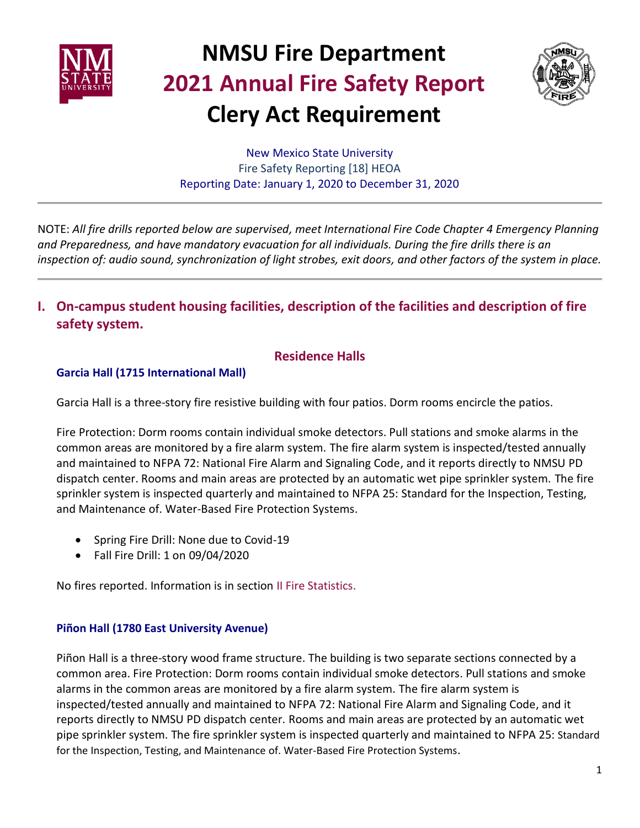



New Mexico State University Fire Safety Reporting [18] HEOA Reporting Date: January 1, 2020 to December 31, 2020

NOTE: *All fire drills reported below are supervised, meet International Fire Code Chapter 4 Emergency Planning and Preparedness, and have mandatory evacuation for all individuals. During the fire drills there is an inspection of: audio sound, synchronization of light strobes, exit doors, and other factors of the system in place.*

**I. On-campus student housing facilities, description of the facilities and description of fire safety system.**

### **Residence Halls**

### **Garcia Hall (1715 International Mall)**

Garcia Hall is a three-story fire resistive building with four patios. Dorm rooms encircle the patios.

Fire Protection: Dorm rooms contain individual smoke detectors. Pull stations and smoke alarms in the common areas are monitored by a fire alarm system. The fire alarm system is inspected/tested annually and maintained to NFPA 72: National Fire Alarm and Signaling Code, and it reports directly to NMSU PD dispatch center. Rooms and main areas are protected by an automatic wet pipe sprinkler system. The fire sprinkler system is inspected quarterly and maintained to NFPA 25: Standard for the Inspection, Testing, and Maintenance of. Water-Based Fire Protection Systems.

- Spring Fire Drill: None due to Covid-19
- Fall Fire Drill: 1 on 09/04/2020

No fires reported. Information is in section II Fire Statistics.

### **Piñon Hall (1780 East University Avenue)**

Piñon Hall is a three-story wood frame structure. The building is two separate sections connected by a common area. Fire Protection: Dorm rooms contain individual smoke detectors. Pull stations and smoke alarms in the common areas are monitored by a fire alarm system. The fire alarm system is inspected/tested annually and maintained to NFPA 72: National Fire Alarm and Signaling Code, and it reports directly to NMSU PD dispatch center. Rooms and main areas are protected by an automatic wet pipe sprinkler system. The fire sprinkler system is inspected quarterly and maintained to NFPA 25: Standard for the Inspection, Testing, and Maintenance of. Water-Based Fire Protection Systems.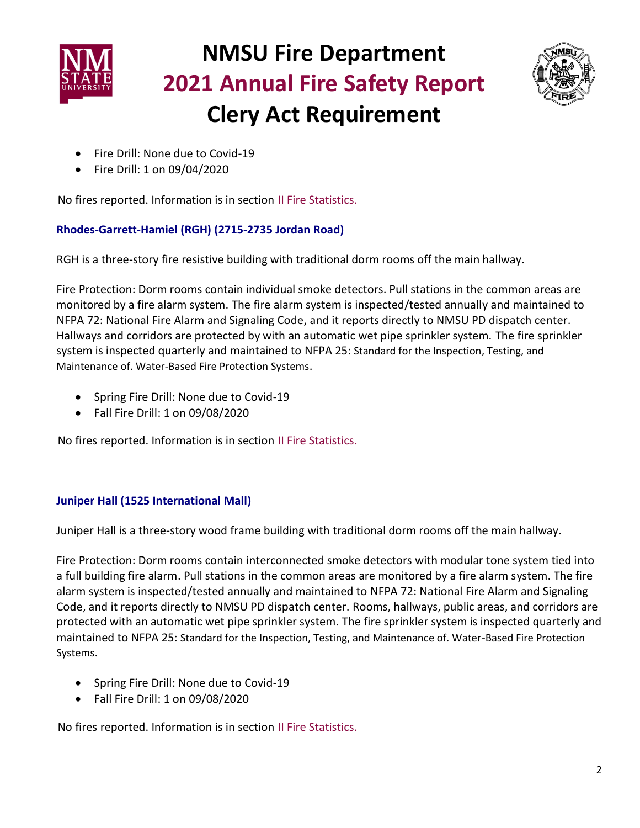



- Fire Drill: None due to Covid-19
- Fire Drill: 1 on 09/04/2020

No fires reported. Information is in section II Fire Statistics.

### **Rhodes-Garrett-Hamiel (RGH) (2715-2735 Jordan Road)**

RGH is a three-story fire resistive building with traditional dorm rooms off the main hallway.

Fire Protection: Dorm rooms contain individual smoke detectors. Pull stations in the common areas are monitored by a fire alarm system. The fire alarm system is inspected/tested annually and maintained to NFPA 72: National Fire Alarm and Signaling Code, and it reports directly to NMSU PD dispatch center. Hallways and corridors are protected by with an automatic wet pipe sprinkler system. The fire sprinkler system is inspected quarterly and maintained to NFPA 25: Standard for the Inspection, Testing, and Maintenance of. Water-Based Fire Protection Systems.

- Spring Fire Drill: None due to Covid-19
- Fall Fire Drill: 1 on 09/08/2020

No fires reported. Information is in section II Fire Statistics.

### **Juniper Hall (1525 International Mall)**

Juniper Hall is a three-story wood frame building with traditional dorm rooms off the main hallway.

Fire Protection: Dorm rooms contain interconnected smoke detectors with modular tone system tied into a full building fire alarm. Pull stations in the common areas are monitored by a fire alarm system. The fire alarm system is inspected/tested annually and maintained to NFPA 72: National Fire Alarm and Signaling Code, and it reports directly to NMSU PD dispatch center. Rooms, hallways, public areas, and corridors are protected with an automatic wet pipe sprinkler system. The fire sprinkler system is inspected quarterly and maintained to NFPA 25: Standard for the Inspection, Testing, and Maintenance of. Water-Based Fire Protection Systems.

- Spring Fire Drill: None due to Covid-19
- Fall Fire Drill: 1 on 09/08/2020

No fires reported. Information is in section II Fire Statistics.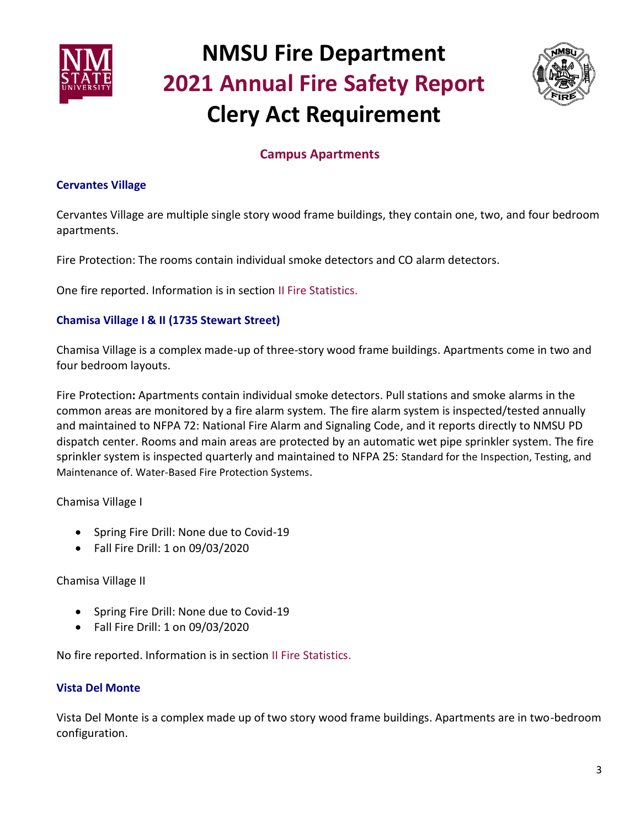



### **Campus Apartments**

#### **Cervantes Village**

Cervantes Village are multiple single story wood frame buildings, they contain one, two, and four bedroom apartments.

Fire Protection: The rooms contain individual smoke detectors and CO alarm detectors.

One fire reported. Information is in section II Fire Statistics.

### **Chamisa Village I & II (1735 Stewart Street)**

Chamisa Village is a complex made-up of three-story wood frame buildings. Apartments come in two and four bedroom layouts.

Fire Protection**:** Apartments contain individual smoke detectors. Pull stations and smoke alarms in the common areas are monitored by a fire alarm system. The fire alarm system is inspected/tested annually and maintained to NFPA 72: National Fire Alarm and Signaling Code, and it reports directly to NMSU PD dispatch center. Rooms and main areas are protected by an automatic wet pipe sprinkler system. The fire sprinkler system is inspected quarterly and maintained to NFPA 25: Standard for the Inspection, Testing, and Maintenance of. Water-Based Fire Protection Systems.

Chamisa Village I

- Spring Fire Drill: None due to Covid-19
- Fall Fire Drill: 1 on 09/03/2020

### Chamisa Village II

- Spring Fire Drill: None due to Covid-19
- Fall Fire Drill: 1 on 09/03/2020

No fire reported. Information is in section II Fire Statistics.

### **Vista Del Monte**

Vista Del Monte is a complex made up of two story wood frame buildings. Apartments are in two-bedroom configuration.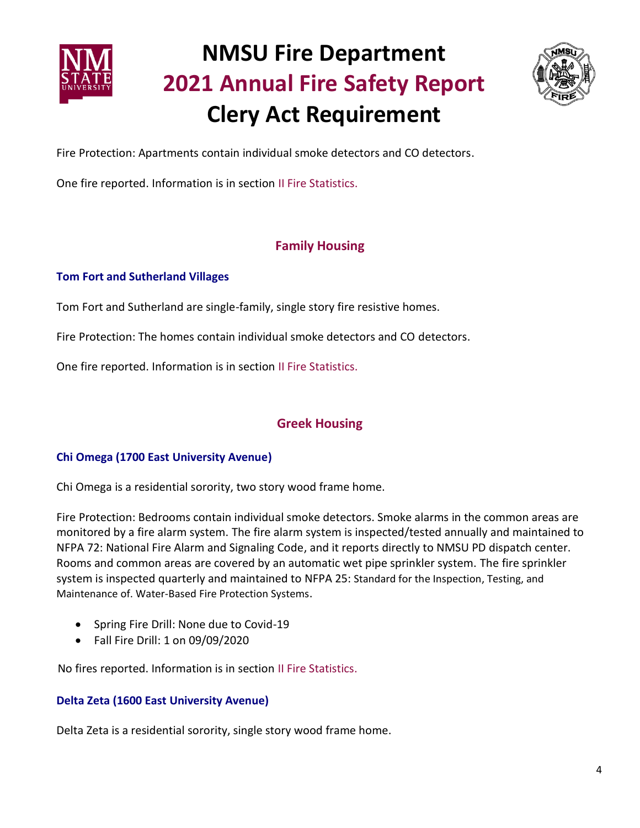



Fire Protection: Apartments contain individual smoke detectors and CO detectors.

One fire reported. Information is in section II Fire Statistics.

### **Family Housing**

### **Tom Fort and Sutherland Villages**

Tom Fort and Sutherland are single-family, single story fire resistive homes.

Fire Protection: The homes contain individual smoke detectors and CO detectors.

One fire reported. Information is in section II Fire Statistics.

### **Greek Housing**

### **Chi Omega (1700 East University Avenue)**

Chi Omega is a residential sorority, two story wood frame home.

Fire Protection: Bedrooms contain individual smoke detectors. Smoke alarms in the common areas are monitored by a fire alarm system. The fire alarm system is inspected/tested annually and maintained to NFPA 72: National Fire Alarm and Signaling Code, and it reports directly to NMSU PD dispatch center. Rooms and common areas are covered by an automatic wet pipe sprinkler system. The fire sprinkler system is inspected quarterly and maintained to NFPA 25: Standard for the Inspection, Testing, and Maintenance of. Water-Based Fire Protection Systems.

- Spring Fire Drill: None due to Covid-19
- Fall Fire Drill: 1 on 09/09/2020

No fires reported. Information is in section II Fire Statistics.

### **Delta Zeta (1600 East University Avenue)**

Delta Zeta is a residential sorority, single story wood frame home.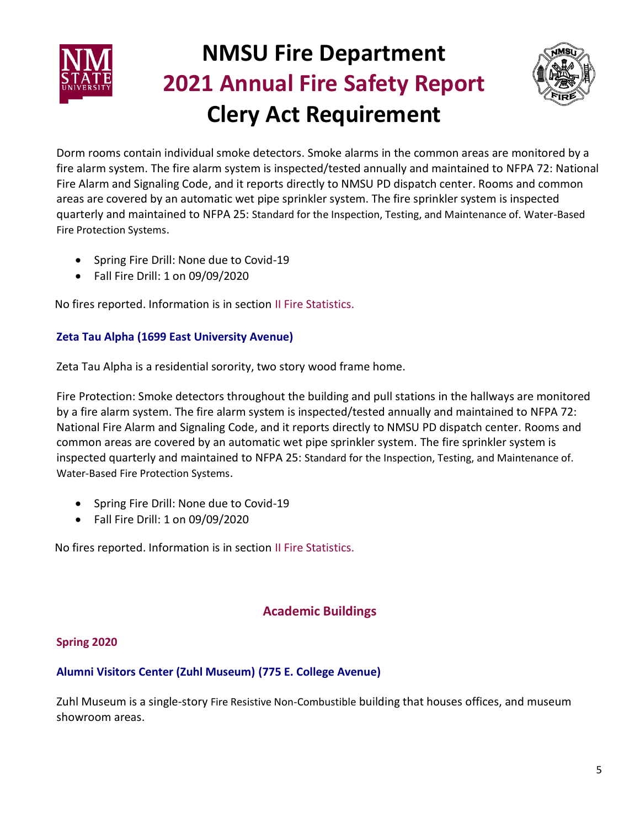



Dorm rooms contain individual smoke detectors. Smoke alarms in the common areas are monitored by a fire alarm system. The fire alarm system is inspected/tested annually and maintained to NFPA 72: National Fire Alarm and Signaling Code, and it reports directly to NMSU PD dispatch center. Rooms and common areas are covered by an automatic wet pipe sprinkler system. The fire sprinkler system is inspected quarterly and maintained to NFPA 25: Standard for the Inspection, Testing, and Maintenance of. Water-Based Fire Protection Systems.

- Spring Fire Drill: None due to Covid-19
- Fall Fire Drill: 1 on 09/09/2020

No fires reported. Information is in section II Fire Statistics.

### **Zeta Tau Alpha (1699 East University Avenue)**

Zeta Tau Alpha is a residential sorority, two story wood frame home.

Fire Protection: Smoke detectors throughout the building and pull stations in the hallways are monitored by a fire alarm system. The fire alarm system is inspected/tested annually and maintained to NFPA 72: National Fire Alarm and Signaling Code, and it reports directly to NMSU PD dispatch center. Rooms and common areas are covered by an automatic wet pipe sprinkler system. The fire sprinkler system is inspected quarterly and maintained to NFPA 25: Standard for the Inspection, Testing, and Maintenance of. Water-Based Fire Protection Systems.

- Spring Fire Drill: None due to Covid-19
- Fall Fire Drill: 1 on 09/09/2020

No fires reported. Information is in section II Fire Statistics.

### **Academic Buildings**

### **Spring 2020**

### **Alumni Visitors Center (Zuhl Museum) (775 E. College Avenue)**

Zuhl Museum is a single-story Fire Resistive Non-Combustible building that houses offices, and museum showroom areas.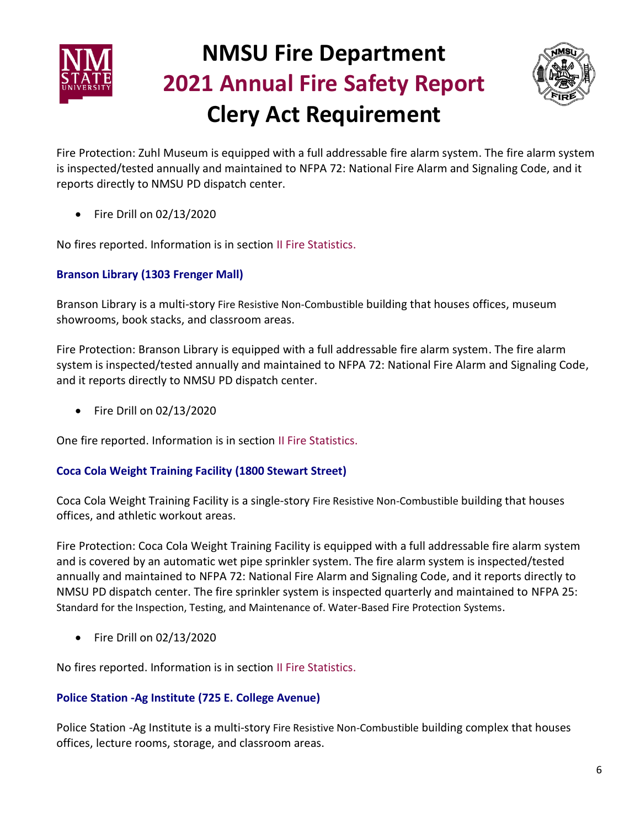



Fire Protection: Zuhl Museum is equipped with a full addressable fire alarm system. The fire alarm system is inspected/tested annually and maintained to NFPA 72: National Fire Alarm and Signaling Code, and it reports directly to NMSU PD dispatch center.

• Fire Drill on 02/13/2020

No fires reported. Information is in section II Fire Statistics.

### **Branson Library (1303 Frenger Mall)**

Branson Library is a multi-story Fire Resistive Non-Combustible building that houses offices, museum showrooms, book stacks, and classroom areas.

Fire Protection: Branson Library is equipped with a full addressable fire alarm system. The fire alarm system is inspected/tested annually and maintained to NFPA 72: National Fire Alarm and Signaling Code, and it reports directly to NMSU PD dispatch center.

• Fire Drill on 02/13/2020

One fire reported. Information is in section II Fire Statistics.

### **Coca Cola Weight Training Facility (1800 Stewart Street)**

Coca Cola Weight Training Facility is a single-story Fire Resistive Non-Combustible building that houses offices, and athletic workout areas.

Fire Protection: Coca Cola Weight Training Facility is equipped with a full addressable fire alarm system and is covered by an automatic wet pipe sprinkler system. The fire alarm system is inspected/tested annually and maintained to NFPA 72: National Fire Alarm and Signaling Code, and it reports directly to NMSU PD dispatch center. The fire sprinkler system is inspected quarterly and maintained to NFPA 25: Standard for the Inspection, Testing, and Maintenance of. Water-Based Fire Protection Systems.

• Fire Drill on 02/13/2020

No fires reported. Information is in section II Fire Statistics.

### **Police Station -Ag Institute (725 E. College Avenue)**

Police Station -Ag Institute is a multi-story Fire Resistive Non-Combustible building complex that houses offices, lecture rooms, storage, and classroom areas.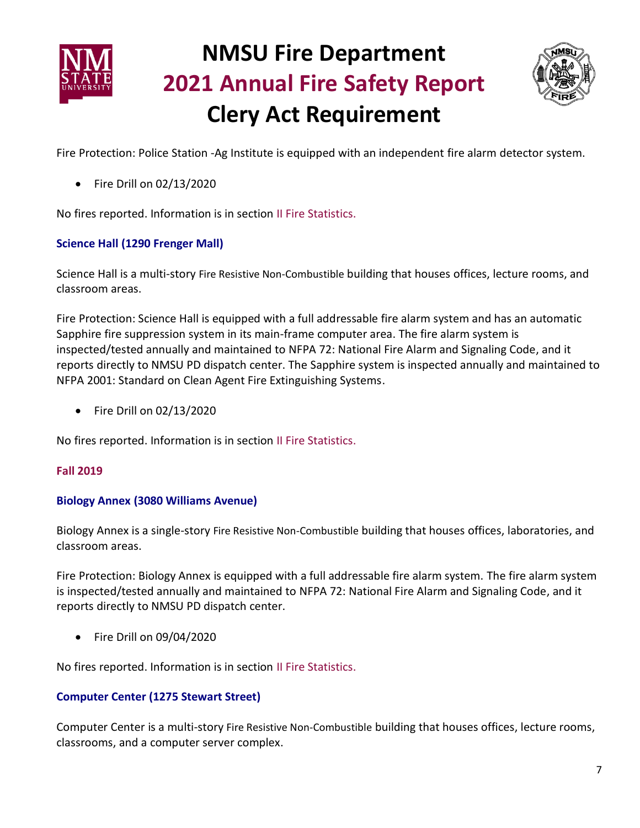



Fire Protection: Police Station -Ag Institute is equipped with an independent fire alarm detector system.

• Fire Drill on 02/13/2020

No fires reported. Information is in section II Fire Statistics.

#### **Science Hall (1290 Frenger Mall)**

Science Hall is a multi-story Fire Resistive Non-Combustible building that houses offices, lecture rooms, and classroom areas.

Fire Protection: Science Hall is equipped with a full addressable fire alarm system and has an automatic Sapphire fire suppression system in its main-frame computer area. The fire alarm system is inspected/tested annually and maintained to NFPA 72: National Fire Alarm and Signaling Code, and it reports directly to NMSU PD dispatch center. The Sapphire system is inspected annually and maintained to NFPA 2001: Standard on Clean Agent Fire Extinguishing Systems.

• Fire Drill on 02/13/2020

No fires reported. Information is in section II Fire Statistics.

#### **Fall 2019**

#### **Biology Annex (3080 Williams Avenue)**

Biology Annex is a single-story Fire Resistive Non-Combustible building that houses offices, laboratories, and classroom areas.

Fire Protection: Biology Annex is equipped with a full addressable fire alarm system. The fire alarm system is inspected/tested annually and maintained to NFPA 72: National Fire Alarm and Signaling Code, and it reports directly to NMSU PD dispatch center.

• Fire Drill on 09/04/2020

No fires reported. Information is in section II Fire Statistics.

#### **Computer Center (1275 Stewart Street)**

Computer Center is a multi-story Fire Resistive Non-Combustible building that houses offices, lecture rooms, classrooms, and a computer server complex.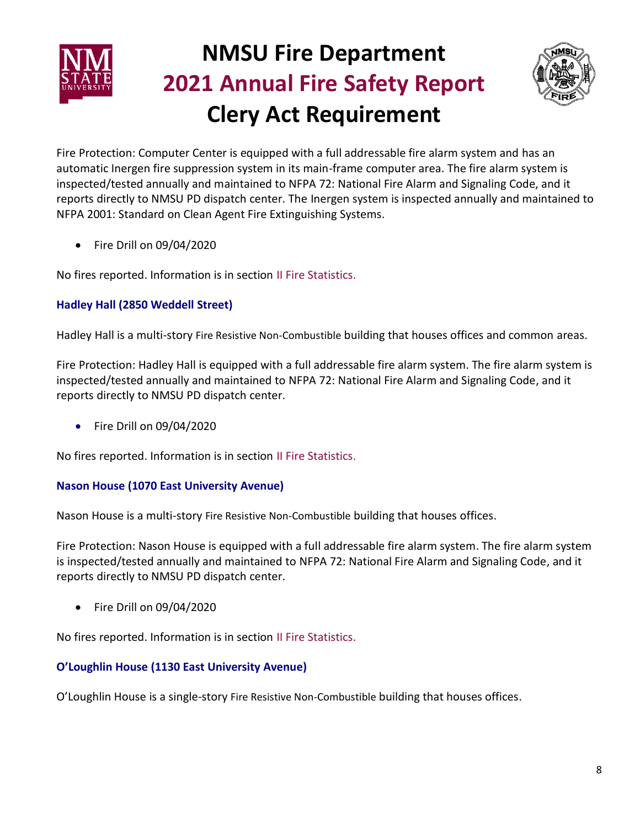



Fire Protection: Computer Center is equipped with a full addressable fire alarm system and has an automatic Inergen fire suppression system in its main-frame computer area. The fire alarm system is inspected/tested annually and maintained to NFPA 72: National Fire Alarm and Signaling Code, and it reports directly to NMSU PD dispatch center. The Inergen system is inspected annually and maintained to NFPA 2001: Standard on Clean Agent Fire Extinguishing Systems.

• Fire Drill on 09/04/2020

No fires reported. Information is in section II Fire Statistics.

### **Hadley Hall (2850 Weddell Street)**

Hadley Hall is a multi-story Fire Resistive Non-Combustible building that houses offices and common areas.

Fire Protection: Hadley Hall is equipped with a full addressable fire alarm system. The fire alarm system is inspected/tested annually and maintained to NFPA 72: National Fire Alarm and Signaling Code, and it reports directly to NMSU PD dispatch center.

• Fire Drill on 09/04/2020

No fires reported. Information is in section II Fire Statistics.

### **Nason House (1070 East University Avenue)**

Nason House is a multi-story Fire Resistive Non-Combustible building that houses offices.

Fire Protection: Nason House is equipped with a full addressable fire alarm system. The fire alarm system is inspected/tested annually and maintained to NFPA 72: National Fire Alarm and Signaling Code, and it reports directly to NMSU PD dispatch center.

• Fire Drill on 09/04/2020

No fires reported. Information is in section II Fire Statistics.

### **O'Loughlin House (1130 East University Avenue)**

O'Loughlin House is a single-story Fire Resistive Non-Combustible building that houses offices.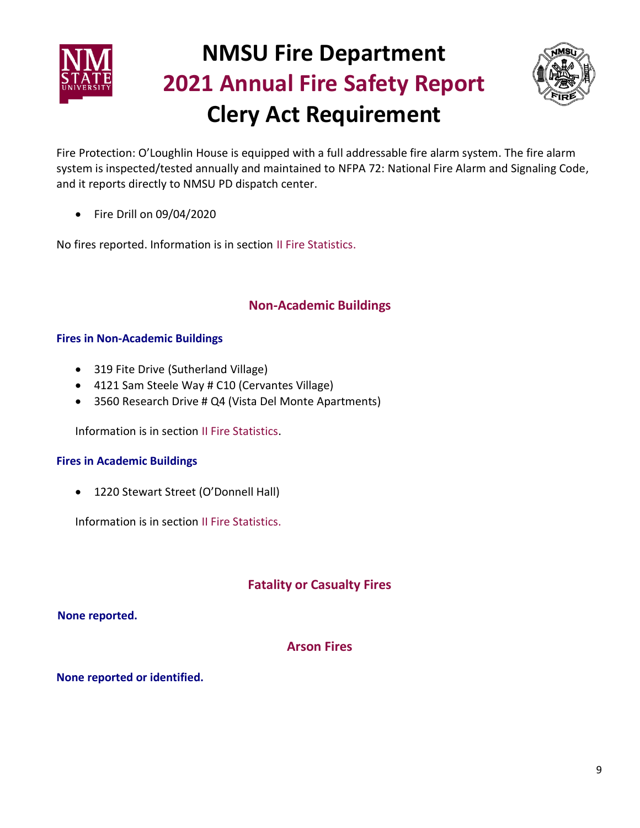



Fire Protection: O'Loughlin House is equipped with a full addressable fire alarm system. The fire alarm system is inspected/tested annually and maintained to NFPA 72: National Fire Alarm and Signaling Code, and it reports directly to NMSU PD dispatch center.

• Fire Drill on 09/04/2020

No fires reported. Information is in section II Fire Statistics.

### **Non-Academic Buildings**

### **Fires in Non-Academic Buildings**

- 319 Fite Drive (Sutherland Village)
- 4121 Sam Steele Way # C10 (Cervantes Village)
- 3560 Research Drive # Q4 (Vista Del Monte Apartments)

Information is in section II Fire Statistics.

#### **Fires in Academic Buildings**

• 1220 Stewart Street (O'Donnell Hall)

Information is in section II Fire Statistics.

### **Fatality or Casualty Fires**

 **None reported.**

### **Arson Fires**

**None reported or identified.**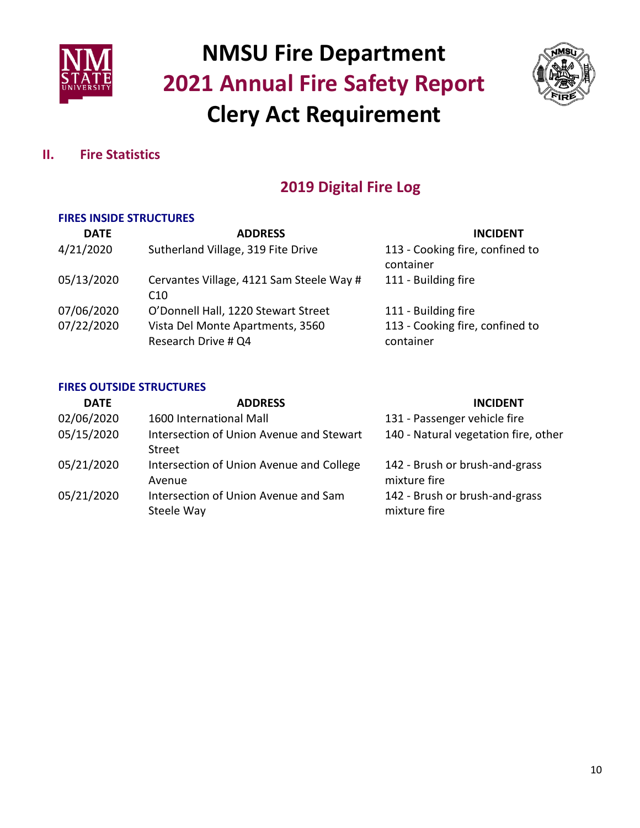



### **II. Fire Statistics**

### **2019 Digital Fire Log**

### **FIRES INSIDE STRUCTURES**

| <b>DATE</b> | <b>ADDRESS</b>                                              | <b>INCIDENT</b>                              |
|-------------|-------------------------------------------------------------|----------------------------------------------|
| 4/21/2020   | Sutherland Village, 319 Fite Drive                          | 113 - Cooking fire, confined to<br>container |
| 05/13/2020  | Cervantes Village, 4121 Sam Steele Way #<br>C <sub>10</sub> | 111 - Building fire                          |
| 07/06/2020  | O'Donnell Hall, 1220 Stewart Street                         | 111 - Building fire                          |
| 07/22/2020  | Vista Del Monte Apartments, 3560<br>Research Drive # Q4     | 113 - Cooking fire, confined to<br>container |

#### **FIRES OUTSIDE STRUCTURES**

| <b>DATE</b> | <b>ADDRESS</b>                                     | <b>INCIDENT</b>                                |
|-------------|----------------------------------------------------|------------------------------------------------|
| 02/06/2020  | 1600 International Mall                            | 131 - Passenger vehicle fire                   |
| 05/15/2020  | Intersection of Union Avenue and Stewart<br>Street | 140 - Natural vegetation fire, other           |
| 05/21/2020  | Intersection of Union Avenue and College<br>Avenue | 142 - Brush or brush-and-grass<br>mixture fire |
| 05/21/2020  | Intersection of Union Avenue and Sam<br>Steele Way | 142 - Brush or brush-and-grass<br>mixture fire |